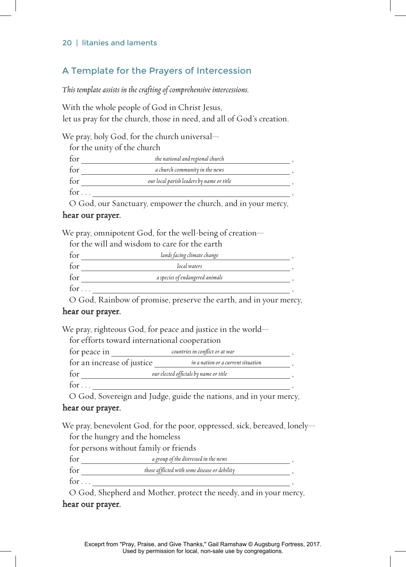#### 20 | litanies and laments

## A Template for the Prayers of Intercession

*This template assists in the crafting of comprehensive intercessions.*

With the whole people of God in Christ Jesus, let us pray for the church, those in need, and all of God's creation.

We pray, holy God, for the church universal—

for the unity of the church

| for | the national and regional church          |  |
|-----|-------------------------------------------|--|
| for | a church community in the news            |  |
| for | our local parish leaders by name or title |  |
| for |                                           |  |

O God, our Sanctuary, empower the church, and in your mercy,

### hear our prayer.

We pray, omnipotent God, for the well-being of creation—

for the will and wisdom to care for the earth

| for          | lands facing climate change     |  |
|--------------|---------------------------------|--|
| for          | local waters                    |  |
| for          | a species of endangered animals |  |
| for $\ldots$ |                                 |  |

O God, Rainbow of promise, preserve the earth, and in your mercy,

### hear our prayer.

We pray, righteous God, for peace and justice in the world—

| for peace in               | countries in conflict or at war        |  |
|----------------------------|----------------------------------------|--|
| for an increase of justice | in a nation or a current situation     |  |
| for                        | our elected officials by name or title |  |

O God, Sovereign and Judge, guide the nations, and in your mercy,

### hear our prayer.

We pray, benevolent God, for the poor, oppressed, sick, bereaved, lonely for the hungry and the homeless

for persons without family or friends

| for          | a group of the distressed in the news         |  |
|--------------|-----------------------------------------------|--|
| for          | those afflicted with some disease or debility |  |
| for $\ldots$ |                                               |  |

O God, Shepherd and Mother, protect the needy, and in your mercy, hear our prayer.